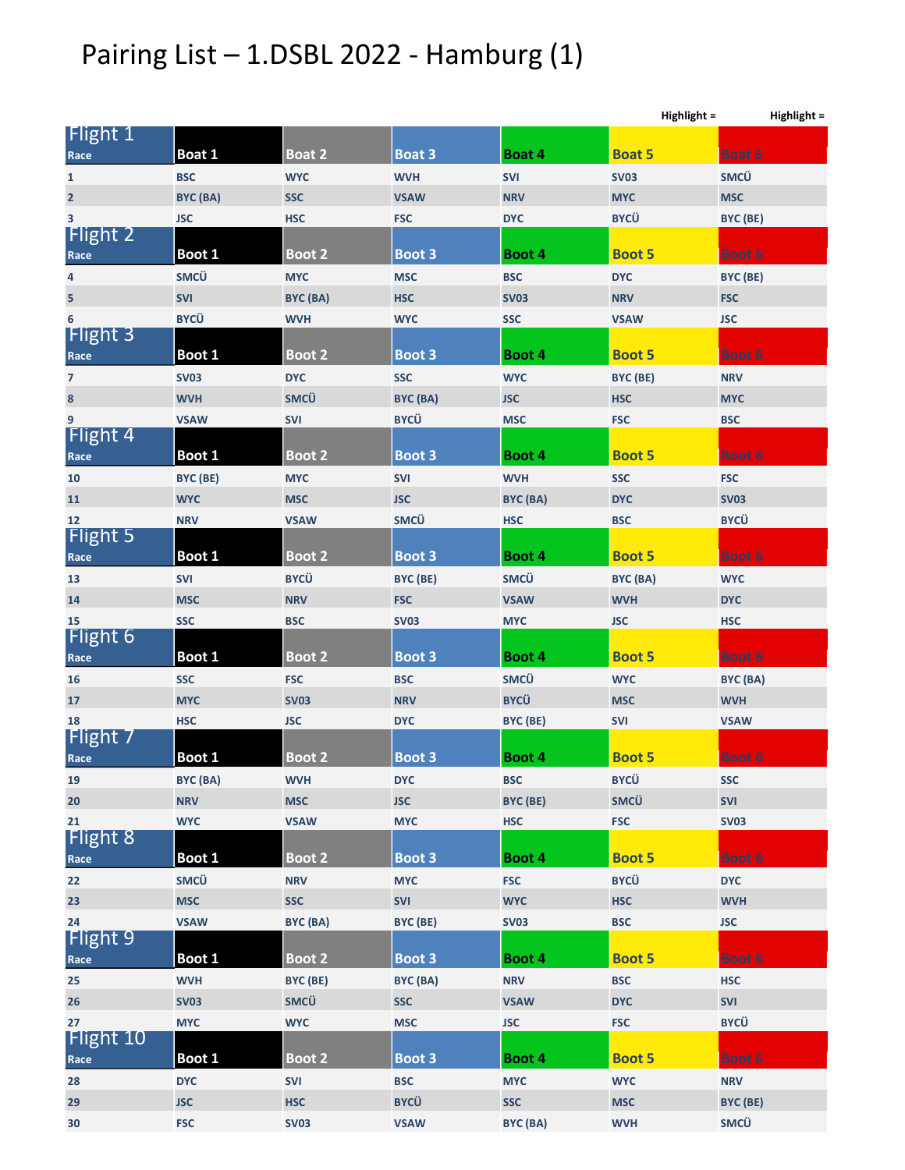## Pairing List – 1.DSBL 2022 - Hamburg (1)

|                          |             |               |               |             | Highlight =   | Highlight =   |
|--------------------------|-------------|---------------|---------------|-------------|---------------|---------------|
| Flight 1                 |             |               |               |             |               |               |
| Race                     | Boat 1      | <b>Boat 2</b> | <b>Boat 3</b> | Boat 4      | <b>Boat 5</b> | <b>Boat 6</b> |
| $\mathbf{1}$             | <b>BSC</b>  | <b>WYC</b>    | <b>WVH</b>    | <b>SVI</b>  | <b>SV03</b>   | <b>SMCÜ</b>   |
| $\overline{2}$           | BYC (BA)    | <b>SSC</b>    | <b>VSAW</b>   | <b>NRV</b>  | <b>MYC</b>    | <b>MSC</b>    |
| 3                        | <b>JSC</b>  | <b>HSC</b>    | <b>FSC</b>    | <b>DYC</b>  | <b>BYCÜ</b>   | BYC (BE)      |
| <b>Flight 2</b>          | Boot 1      | Boot 2        | <b>Boot 3</b> |             |               |               |
| Race                     | <b>SMCÜ</b> |               |               | Boot 4      | <b>Boot 5</b> | <b>Boot 6</b> |
| 4                        |             | <b>MYC</b>    | <b>MSC</b>    | <b>BSC</b>  | <b>DYC</b>    | BYC (BE)      |
| 5                        | <b>SVI</b>  | BYC (BA)      | <b>HSC</b>    | <b>SV03</b> | <b>NRV</b>    | <b>FSC</b>    |
| 6<br>Flight 3            | <b>BYCÜ</b> | <b>WVH</b>    | <b>WYC</b>    | <b>SSC</b>  | <b>VSAW</b>   | <b>JSC</b>    |
| Race                     | Boot 1      | Boot 2        | <b>Boot 3</b> | Boot 4      | <b>Boot 5</b> | <b>Boot 6</b> |
| $\overline{\phantom{a}}$ | <b>SV03</b> | <b>DYC</b>    | <b>SSC</b>    | <b>WYC</b>  | BYC (BE)      | <b>NRV</b>    |
| 8                        | <b>WVH</b>  | <b>SMCÜ</b>   | BYC (BA)      | <b>JSC</b>  | <b>HSC</b>    | <b>MYC</b>    |
| 9                        | <b>VSAW</b> | <b>SVI</b>    | <b>BYCÜ</b>   | <b>MSC</b>  | <b>FSC</b>    | <b>BSC</b>    |
| Flight 4                 |             |               |               |             |               |               |
| Race                     | Boot 1      | Boot 2        | <b>Boot 3</b> | Boot 4      | <b>Boot 5</b> | <b>Boot 6</b> |
| 10                       | BYC (BE)    | <b>MYC</b>    | <b>SVI</b>    | <b>WVH</b>  | <b>SSC</b>    | <b>FSC</b>    |
| 11                       | <b>WYC</b>  | <b>MSC</b>    | <b>JSC</b>    | BYC (BA)    | <b>DYC</b>    | <b>SV03</b>   |
| 12                       | <b>NRV</b>  | <b>VSAW</b>   | <b>SMCÜ</b>   | <b>HSC</b>  | <b>BSC</b>    | <b>BYCÜ</b>   |
| Flight 5<br>Race         | Boot 1      | Boot 2        | <b>Boot 3</b> | Boot 4      | <b>Boot 5</b> | <b>Boot 6</b> |
| 13                       | <b>SVI</b>  | <b>BYCÜ</b>   | BYC (BE)      | <b>SMCÜ</b> | BYC (BA)      | <b>WYC</b>    |
| 14                       | <b>MSC</b>  | <b>NRV</b>    | <b>FSC</b>    | <b>VSAW</b> | <b>WVH</b>    | <b>DYC</b>    |
| 15                       | <b>SSC</b>  | <b>BSC</b>    | <b>SV03</b>   | <b>MYC</b>  | <b>JSC</b>    | <b>HSC</b>    |
| Flight 6                 |             |               |               |             |               |               |
| Race                     | Boot 1      | Boot 2        | <b>Boot 3</b> | Boot 4      | <b>Boot 5</b> | <b>Boot 6</b> |
| 16                       | <b>SSC</b>  | <b>FSC</b>    | <b>BSC</b>    | <b>SMCÜ</b> | <b>WYC</b>    | BYC (BA)      |
| 17                       | <b>MYC</b>  | <b>SV03</b>   | <b>NRV</b>    | <b>BYCÜ</b> | <b>MSC</b>    | <b>WVH</b>    |
| 18                       | <b>HSC</b>  | <b>JSC</b>    | <b>DYC</b>    | BYC (BE)    | <b>SVI</b>    | <b>VSAW</b>   |
| <b>Flight 7</b>          |             |               |               |             |               |               |
| Race                     | Boot 1      | Boot 2        | <b>Boot 3</b> | Boot 4      | <b>Boot 5</b> | <b>Boot 6</b> |
| 19                       | BYC (BA)    | <b>WVH</b>    | <b>DYC</b>    | <b>BSC</b>  | <b>BYCÜ</b>   | <b>SSC</b>    |
| ${\bf 20}$               | <b>NRV</b>  | <b>MSC</b>    | <b>JSC</b>    | BYC (BE)    | <b>SMCÜ</b>   | <b>SVI</b>    |
| 21<br><b>Flight 8</b>    | <b>WYC</b>  | <b>VSAW</b>   | <b>MYC</b>    | <b>HSC</b>  | <b>FSC</b>    | <b>SV03</b>   |
| Race                     | Boot 1      | Boot 2        | <b>Boot 3</b> | Boot 4      | <b>Boot 5</b> | <b>Boot 6</b> |
| 22                       | <b>SMCÜ</b> | <b>NRV</b>    | <b>MYC</b>    | <b>FSC</b>  | <b>BYCÜ</b>   | <b>DYC</b>    |
| 23                       | <b>MSC</b>  | <b>SSC</b>    | SVI           | <b>WYC</b>  | <b>HSC</b>    | <b>WVH</b>    |
| 24                       | <b>VSAW</b> | BYC (BA)      | BYC (BE)      | <b>SV03</b> | <b>BSC</b>    | <b>JSC</b>    |
| <b>Flight 9</b>          |             |               |               |             |               |               |
| Race                     | Boot 1      | Boot 2        | <b>Boot 3</b> | Boot 4      | <b>Boot 5</b> | <b>Boot 6</b> |
| 25                       | <b>WVH</b>  | BYC (BE)      | BYC (BA)      | <b>NRV</b>  | <b>BSC</b>    | <b>HSC</b>    |
| 26                       | <b>SV03</b> | <b>SMCÜ</b>   | <b>SSC</b>    | <b>VSAW</b> | <b>DYC</b>    | <b>SVI</b>    |
| 27                       | <b>MYC</b>  | <b>WYC</b>    | <b>MSC</b>    | <b>JSC</b>  | <b>FSC</b>    | <b>BYCÜ</b>   |
| Flight 10                |             |               |               |             |               |               |
| Race                     | Boot 1      | Boot 2        | <b>Boot 3</b> | Boot 4      | <b>Boot 5</b> | Boot 6        |
| 28                       | <b>DYC</b>  | <b>SVI</b>    | <b>BSC</b>    | <b>MYC</b>  | <b>WYC</b>    | <b>NRV</b>    |
| 29                       | <b>JSC</b>  | <b>HSC</b>    | <b>BYCÜ</b>   | <b>SSC</b>  | <b>MSC</b>    | BYC (BE)      |
| 30                       | <b>FSC</b>  | <b>SV03</b>   | <b>VSAW</b>   | BYC (BA)    | <b>WVH</b>    | <b>SMCÜ</b>   |